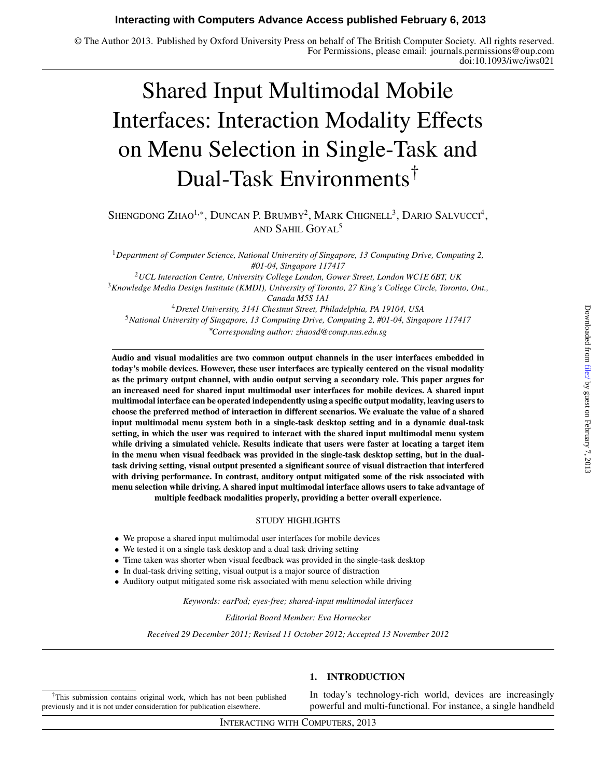© The Author 2013. Published by Oxford University Press on behalf of The British Computer Society. All rights reserved. For Permissions, please email: journals.permissions@oup.com doi:10.1093/iwc/iws021

# Shared Input Multimodal Mobile Interfaces: Interaction Modality Effects on Menu Selection in Single-Task and Dual-Task Environments†

SHENGDONG ZHAO<sup>1,\*</sup>, DUNCAN P. BRUMBY<sup>2</sup>, MARK CHIGNELL<sup>3</sup>, DARIO SALVUCCI<sup>4</sup>, and Sahil Goyal<sup>5</sup>

<sup>1</sup>*Department of Computer Science, National University of Singapore, 13 Computing Drive, Computing 2, #01-04, Singapore 117417*

*UCL Interaction Centre, University College London, Gower Street, London WC1E 6BT, UK Knowledge Media Design Institute (KMDI), University of Toronto, 27 King's College Circle, Toronto, Ont., Canada M5S 1A1 Drexel University, 3141 Chestnut Street, Philadelphia, PA 19104, USA*

<sup>5</sup>*National University of Singapore, 13 Computing Drive, Computing 2, #01-04, Singapore 117417* ∗ *Corresponding author: zhaosd@comp.nus.edu.sg*

**Audio and visual modalities are two common output channels in the user interfaces embedded in today's mobile devices. However, these user interfaces are typically centered on the visual modality as the primary output channel, with audio output serving a secondary role. This paper argues for an increased need for shared input multimodal user interfaces for mobile devices. A shared input multimodal interface can be operated independently using a specific output modality, leaving users to choose the preferred method of interaction in different scenarios. We evaluate the value of a shared input multimodal menu system both in a single-task desktop setting and in a dynamic dual-task setting, in which the user was required to interact with the shared input multimodal menu system while driving a simulated vehicle. Results indicate that users were faster at locating a target item in the menu when visual feedback was provided in the single-task desktop setting, but in the dualtask driving setting, visual output presented a significant source of visual distraction that interfered with driving performance. In contrast, auditory output mitigated some of the risk associated with menu selection while driving. A shared input multimodal interface allows users to take advantage of**

**multiple feedback modalities properly, providing a better overall experience.**

## STUDY HIGHLIGHTS

- We propose a shared input multimodal user interfaces for mobile devices
- We tested it on a single task desktop and a dual task driving setting
- Time taken was shorter when visual feedback was provided in the single-task desktop
- In dual-task driving setting, visual output is a major source of distraction
- Auditory output mitigated some risk associated with menu selection while driving

*Keywords: earPod; eyes-free; shared-input multimodal interfaces*

*Editorial Board Member: Eva Hornecker*

*Received 29 December 2011; Revised 11 October 2012; Accepted 13 November 2012*

**1. INTRODUCTION**

#### †This submission contains original work, which has not been published previously and it is not under consideration for publication elsewhere.

In today's technology-rich world, devices are increasingly powerful and multi-functional. For instance, a single handheld

Interacting with Computers, 2013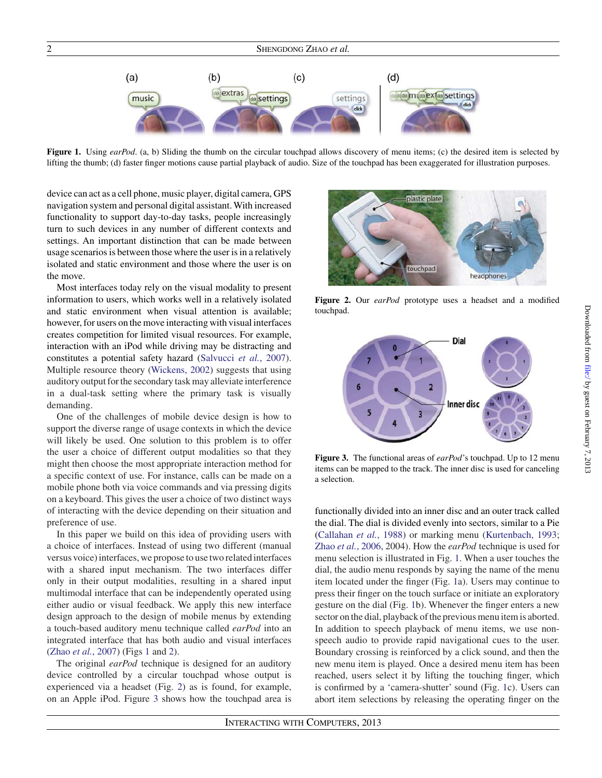<span id="page-1-0"></span>

Figure 1. Using *earPod*. (a, b) Sliding the thumb on the circular touchpad allows discovery of menu items; (c) the desired item is selected by lifting the thumb; (d) faster finger motions cause partial playback of audio. Size of the touchpad has been exaggerated for illustration purposes.

device can act as a cell phone, music player, digital camera, GPS navigation system and personal digital assistant. With increased functionality to support day-to-day tasks, people increasingly turn to such devices in any number of different contexts and settings. An important distinction that can be made between usage scenarios is between those where the user is in a relatively isolated and static environment and those where the user is on the move.

Most interfaces today rely on the visual modality to present information to users, which works well in a relatively isolated and static environment when visual attention is available; however, for users on the move interacting with visual interfaces creates competition for limited visual resources. For example, interaction with an iPod while driving may be distracting and constitutes a potential safety hazard [\(Salvucci](#page-16-0) *et al.*, 2007). Multiple resource theory [\(Wickens, 2002\)](#page-16-0) suggests that using auditory output for the secondary task may alleviate interference in a dual-task setting where the primary task is visually demanding.

One of the challenges of mobile device design is how to support the diverse range of usage contexts in which the device will likely be used. One solution to this problem is to offer the user a choice of different output modalities so that they might then choose the most appropriate interaction method for a specific context of use. For instance, calls can be made on a mobile phone both via voice commands and via pressing digits on a keyboard. This gives the user a choice of two distinct ways of interacting with the device depending on their situation and preference of use.

In this paper we build on this idea of providing users with a choice of interfaces. Instead of using two different (manual versus voice) interfaces, we propose to use two related interfaces with a shared input mechanism. The two interfaces differ only in their output modalities, resulting in a shared input multimodal interface that can be independently operated using either audio or visual feedback. We apply this new interface design approach to the design of mobile menus by extending a touch-based auditory menu technique called *earPod* into an integrated interface that has both audio and visual interfaces (Zhao *et al.*[, 2007\)](#page-17-0) (Figs 1 and 2).

The original *earPod* technique is designed for an auditory device controlled by a circular touchpad whose output is experienced via a headset (Fig. 2) as is found, for example, on an Apple iPod. Figure 3 shows how the touchpad area is



**Figure 2.** Our *earPod* prototype uses a headset and a modified touchpad.



Downloaded from file:/ by guest on February 7, 2013 Downloaded from file:/ by guest on February 7, 2013

**Figure 3.** The functional areas of *earPod*'s touchpad. Up to 12 menu items can be mapped to the track. The inner disc is used for canceling a selection.

functionally divided into an inner disc and an outer track called the dial. The dial is divided evenly into sectors, similar to a Pie [\(Callahan](#page-15-0) *et al.*, 1988) or marking menu [\(Kurtenbach, 1993;](#page-16-0) Zhao *et al.*[, 2006,](#page-17-0) 2004). How the *earPod* technique is used for menu selection is illustrated in Fig. 1. When a user touches the dial, the audio menu responds by saying the name of the menu item located under the finger (Fig. 1a). Users may continue to press their finger on the touch surface or initiate an exploratory gesture on the dial (Fig. 1b). Whenever the finger enters a new sector on the dial, playback of the previous menu item is aborted. In addition to speech playback of menu items, we use nonspeech audio to provide rapid navigational cues to the user. Boundary crossing is reinforced by a click sound, and then the new menu item is played. Once a desired menu item has been reached, users select it by lifting the touching finger, which is confirmed by a 'camera-shutter' sound (Fig. 1c). Users can abort item selections by releasing the operating finger on the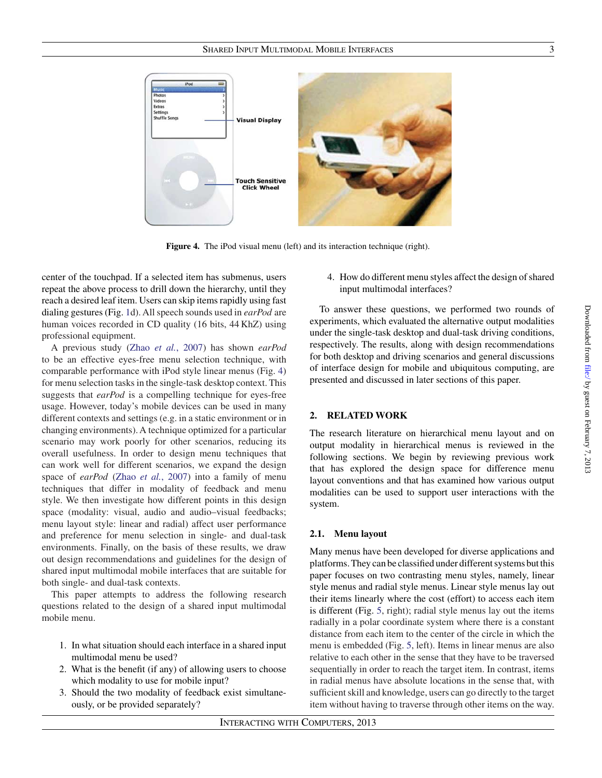<span id="page-2-0"></span>

**Figure 4.** The iPod visual menu (left) and its interaction technique (right).

center of the touchpad. If a selected item has submenus, users repeat the above process to drill down the hierarchy, until they reach a desired leaf item. Users can skip items rapidly using fast dialing gestures (Fig. [1d](#page-1-0)). All speech sounds used in *earPod* are human voices recorded in CD quality (16 bits, 44 KhZ) using professional equipment.

A previous study (Zhao *et al.*[, 2007\)](#page-17-0) has shown *earPod* to be an effective eyes-free menu selection technique, with comparable performance with iPod style linear menus (Fig. 4) for menu selection tasks in the single-task desktop context. This suggests that *earPod* is a compelling technique for eyes-free usage. However, today's mobile devices can be used in many different contexts and settings (e.g. in a static environment or in changing environments). A technique optimized for a particular scenario may work poorly for other scenarios, reducing its overall usefulness. In order to design menu techniques that can work well for different scenarios, we expand the design space of *earPod* (Zhao *et al.*[, 2007\)](#page-17-0) into a family of menu techniques that differ in modality of feedback and menu style. We then investigate how different points in this design space (modality: visual, audio and audio–visual feedbacks; menu layout style: linear and radial) affect user performance and preference for menu selection in single- and dual-task environments. Finally, on the basis of these results, we draw out design recommendations and guidelines for the design of shared input multimodal mobile interfaces that are suitable for both single- and dual-task contexts.

This paper attempts to address the following research questions related to the design of a shared input multimodal mobile menu.

- 1. In what situation should each interface in a shared input multimodal menu be used?
- 2. What is the benefit (if any) of allowing users to choose which modality to use for mobile input?
- 3. Should the two modality of feedback exist simultaneously, or be provided separately?

4. How do different menu styles affect the design of shared input multimodal interfaces?

To answer these questions, we performed two rounds of experiments, which evaluated the alternative output modalities under the single-task desktop and dual-task driving conditions, respectively. The results, along with design recommendations for both desktop and driving scenarios and general discussions of interface design for mobile and ubiquitous computing, are presented and discussed in later sections of this paper.

# **2. RELATED WORK**

The research literature on hierarchical menu layout and on output modality in hierarchical menus is reviewed in the following sections. We begin by reviewing previous work that has explored the design space for difference menu layout conventions and that has examined how various output modalities can be used to support user interactions with the system.

#### **2.1. Menu layout**

Many menus have been developed for diverse applications and platforms.They can be classified under different systems but this paper focuses on two contrasting menu styles, namely, linear style menus and radial style menus. Linear style menus lay out their items linearly where the cost (effort) to access each item is different (Fig. [5,](#page-3-0) right); radial style menus lay out the items radially in a polar coordinate system where there is a constant distance from each item to the center of the circle in which the menu is embedded (Fig. [5,](#page-3-0) left). Items in linear menus are also relative to each other in the sense that they have to be traversed sequentially in order to reach the target item. In contrast, items in radial menus have absolute locations in the sense that, with sufficient skill and knowledge, users can go directly to the target item without having to traverse through other items on the way.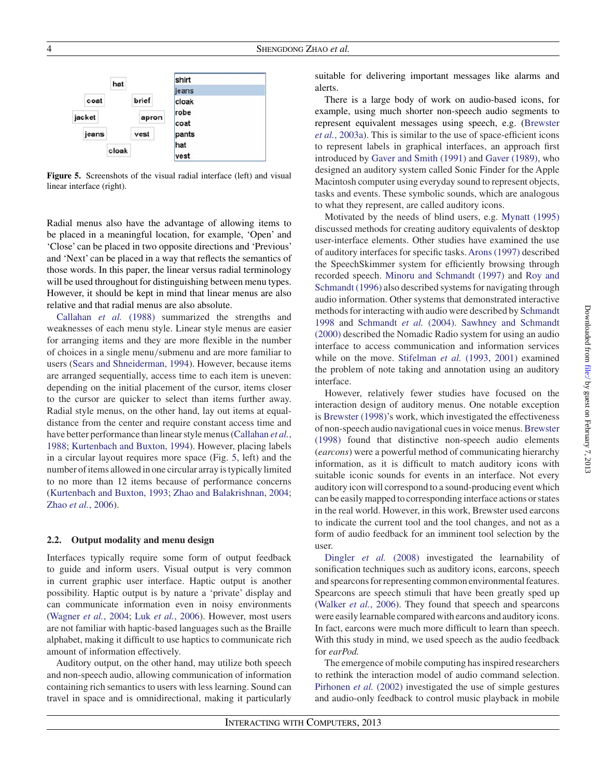<span id="page-3-0"></span>

Figure 5. Screenshots of the visual radial interface (left) and visual linear interface (right).

Radial menus also have the advantage of allowing items to be placed in a meaningful location, for example, 'Open' and 'Close' can be placed in two opposite directions and 'Previous' and 'Next' can be placed in a way that reflects the semantics of those words. In this paper, the linear versus radial terminology will be used throughout for distinguishing between menu types. However, it should be kept in mind that linear menus are also relative and that radial menus are also absolute.

[Callahan](#page-15-0) *et al.* (1988) summarized the strengths and weaknesses of each menu style. Linear style menus are easier for arranging items and they are more flexible in the number of choices in a single menu*/*submenu and are more familiar to users [\(Sears and Shneiderman, 1994\)](#page-16-0). However, because items are arranged sequentially, access time to each item is uneven: depending on the initial placement of the cursor, items closer to the cursor are quicker to select than items further away. Radial style menus, on the other hand, lay out items at equaldistance from the center and require constant access time and have better performance than linear style menus [\(Callahan](#page-15-0) *et al.*, [1988;](#page-15-0) [Kurtenbach and Buxton, 1994\)](#page-16-0). However, placing labels in a circular layout requires more space (Fig. 5, left) and the number of items allowed in one circular array is typically limited to no more than 12 items because of performance concerns [\(Kurtenbach and Buxton, 1993;](#page-16-0) [Zhao and Balakrishnan, 2004;](#page-17-0) Zhao *et al.*[, 2006\)](#page-17-0).

## **2.2. Output modality and menu design**

Interfaces typically require some form of output feedback to guide and inform users. Visual output is very common in current graphic user interface. Haptic output is another possibility. Haptic output is by nature a 'private' display and can communicate information even in noisy environments [\(Wagner](#page-16-0) *et al.*, 2004; Luk *et al.*[, 2006\)](#page-16-0). However, most users are not familiar with haptic-based languages such as the Braille alphabet, making it difficult to use haptics to communicate rich amount of information effectively.

Auditory output, on the other hand, may utilize both speech and non-speech audio, allowing communication of information containing rich semantics to users with less learning. Sound can travel in space and is omnidirectional, making it particularly suitable for delivering important messages like alarms and alerts.

There is a large body of work on audio-based icons, for example, using much shorter non-speech audio segments to represent equivalent messages using speech, e.g. [\(Brewster](#page-15-0) *et al.*[, 2003a\)](#page-15-0). This is similar to the use of space-efficient icons to represent labels in graphical interfaces, an approach first introduced by [Gaver and Smith \(1991\)](#page-15-0) and [Gaver \(1989\),](#page-15-0) who designed an auditory system called Sonic Finder for the Apple Macintosh computer using everyday sound to represent objects, tasks and events. These symbolic sounds, which are analogous to what they represent, are called auditory icons.

Motivated by the needs of blind users, e.g. [Mynatt \(1995\)](#page-16-0) discussed methods for creating auditory equivalents of desktop user-interface elements. Other studies have examined the use of auditory interfaces for specific tasks. [Arons \(1997\)](#page-15-0) described the SpeechSkimmer system for efficiently browsing through recorded speech. [Minoru and Schmandt \(1997\)](#page-16-0) and Roy and Schmandt (1996) also described systems for navigating through audio information. Other systems that demonstrated interactive methods for interacting with audio were described by [Schmandt](#page-16-0) [1998](#page-16-0) and [Schmandt](#page-16-0) *et al.* (2004). [Sawhney and Schmandt](#page-16-0) [\(2000\)](#page-16-0) described the Nomadic Radio system for using an audio interface to access communication and information services while on the move. [Stifelman](#page-16-0) *et al.* (1993, [2001\)](#page-16-0) examined the problem of note taking and annotation using an auditory interface.

However, relatively fewer studies have focused on the interaction design of auditory menus. One notable exception is [Brewster \(1998\)'](#page-15-0)s work, which investigated the effectiveness of non-speech audio navigational cues in voice menus.[Brewster](#page-15-0) [\(1998\)](#page-15-0) found that distinctive non-speech audio elements (*earcons*) were a powerful method of communicating hierarchy information, as it is difficult to match auditory icons with suitable iconic sounds for events in an interface. Not every auditory icon will correspond to a sound-producing event which can be easily mapped to corresponding interface actions or states in the real world. However, in this work, Brewster used earcons to indicate the current tool and the tool changes, and not as a form of audio feedback for an imminent tool selection by the user.

[Dingler](#page-15-0) *et al.* (2008) investigated the learnability of sonification techniques such as auditory icons, earcons, speech and spearcons for representing common environmental features. Spearcons are speech stimuli that have been greatly sped up [\(Walker](#page-16-0) *et al.*, 2006). They found that speech and spearcons were easily learnable compared with earcons and auditory icons. In fact, earcons were much more difficult to learn than speech. With this study in mind, we used speech as the audio feedback for *earPod.*

The emergence of mobile computing has inspired researchers to rethink the interaction model of audio command selection. [Pirhonen](#page-16-0) *et al.* (2002) investigated the use of simple gestures and audio-only feedback to control music playback in mobile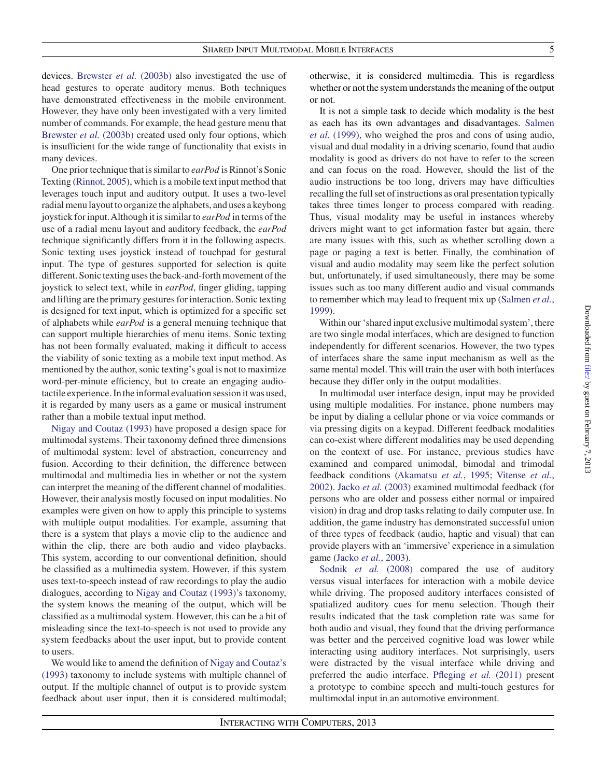devices. Brewster *et al.* (2003b) also investigated the use of head gestures to operate auditory menus. Both techniques have demonstrated effectiveness in the mobile environment. However, they have only been investigated with a very limited number of commands. For example, the head gesture menu that Brewster *et al.* (2003b) created used only four options, which is insufficient for the wide range of functionality that exists in many devices.

One prior technique that is similar to *earPod* is Rinnot's Sonic Texting [\(Rinnot, 2005\)](#page-16-0), which is a mobile text input method that leverages touch input and auditory output. It uses a two-level radial menu layout to organize the alphabets, and uses a keybong joystick for input.Although it is similar to *earPod* in terms of the use of a radial menu layout and auditory feedback, the *earPod* technique significantly differs from it in the following aspects. Sonic texting uses joystick instead of touchpad for gestural input. The type of gestures supported for selection is quite different. Sonic texting uses the back-and-forth movement of the joystick to select text, while in *earPod*, finger gliding, tapping and lifting are the primary gestures for interaction. Sonic texting is designed for text input, which is optimized for a specific set of alphabets while *earPod* is a general menuing technique that can support multiple hierarchies of menu items. Sonic texting has not been formally evaluated, making it difficult to access the viability of sonic texting as a mobile text input method. As mentioned by the author, sonic texting's goal is not to maximize word-per-minute efficiency, but to create an engaging audiotactile experience. In the informal evaluation session it was used, it is regarded by many users as a game or musical instrument rather than a mobile textual input method.

[Nigay and Coutaz \(1993\)](#page-16-0) have proposed a design space for multimodal systems. Their taxonomy defined three dimensions of multimodal system: level of abstraction, concurrency and fusion. According to their definition, the difference between multimodal and multimedia lies in whether or not the system can interpret the meaning of the different channel of modalities. However, their analysis mostly focused on input modalities. No examples were given on how to apply this principle to systems with multiple output modalities. For example, assuming that there is a system that plays a movie clip to the audience and within the clip, there are both audio and video playbacks. This system, according to our conventional definition, should be classified as a multimedia system. However, if this system uses text-to-speech instead of raw recordings to play the audio dialogues, according to [Nigay and Coutaz \(1993\)'](#page-16-0)s taxonomy, the system knows the meaning of the output, which will be classified as a multimodal system. However, this can be a bit of misleading since the text-to-speech is not used to provide any system feedbacks about the user input, but to provide content to users.

We would like to amend the definition of [Nigay and Coutaz's](#page-16-0) [\(1993\)](#page-16-0) taxonomy to include systems with multiple channel of output. If the multiple channel of output is to provide system feedback about user input, then it is considered multimodal;

otherwise, it is considered multimedia. This is regardless whether or not the system understands the meaning of the output or not.

It is not a simple task to decide which modality is the best as each has its own advantages and disadvantages. [Salmen](#page-16-0) *et al.* [\(1999\),](#page-16-0) who weighed the pros and cons of using audio, visual and dual modality in a driving scenario, found that audio modality is good as drivers do not have to refer to the screen and can focus on the road. However, should the list of the audio instructions be too long, drivers may have difficulties recalling the full set of instructions as oral presentation typically takes three times longer to process compared with reading. Thus, visual modality may be useful in instances whereby drivers might want to get information faster but again, there are many issues with this, such as whether scrolling down a page or paging a text is better. Finally, the combination of visual and audio modality may seem like the perfect solution but, unfortunately, if used simultaneously, there may be some issues such as too many different audio and visual commands to remember which may lead to frequent mix up [\(Salmen](#page-16-0) *et al.*, [1999\)](#page-16-0).

Within our 'shared input exclusive multimodal system', there are two single modal interfaces, which are designed to function independently for different scenarios. However, the two types of interfaces share the same input mechanism as well as the same mental model. This will train the user with both interfaces because they differ only in the output modalities.

In multimodal user interface design, input may be provided using multiple modalities. For instance, phone numbers may be input by dialing a cellular phone or via voice commands or via pressing digits on a keypad. Different feedback modalities can co-exist where different modalities may be used depending on the context of use. For instance, previous studies have examined and compared unimodal, bimodal and trimodal feedback conditions [\(Akamatsu](#page-15-0) *et al.*, 1995; [Vitense](#page-16-0) *et al.*, [2002\)](#page-16-0). Jacko *et al.* [\(2003\)](#page-15-0) examined multimodal feedback (for persons who are older and possess either normal or impaired vision) in drag and drop tasks relating to daily computer use. In addition, the game industry has demonstrated successful union of three types of feedback (audio, haptic and visual) that can provide players with an 'immersive' experience in a simulation game (Jacko *et al.*[, 2003\)](#page-15-0).

[Sodnik](#page-16-0) *et al.* (2008) compared the use of auditory versus visual interfaces for interaction with a mobile device while driving. The proposed auditory interfaces consisted of spatialized auditory cues for menu selection. Though their results indicated that the task completion rate was same for both audio and visual, they found that the driving performance was better and the perceived cognitive load was lower while interacting using auditory interfaces. Not surprisingly, users were distracted by the visual interface while driving and preferred the audio interface. [Pfleging](#page-16-0) *et al.* (2011) present a prototype to combine speech and multi-touch gestures for multimodal input in an automotive environment.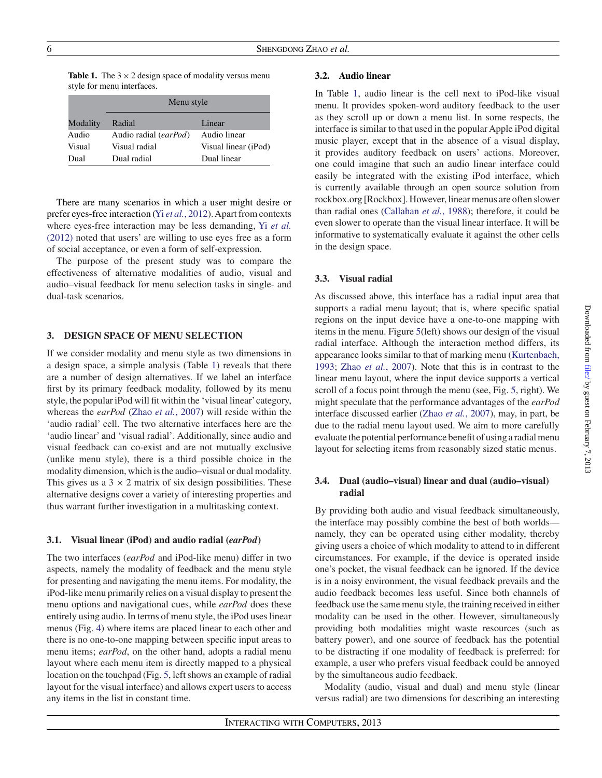<span id="page-5-0"></span>**Table 1.** The  $3 \times 2$  design space of modality versus menu style for menu interfaces.

|          | Menu style            |                      |
|----------|-----------------------|----------------------|
| Modality | Radial                | Linear               |
| Audio    | Audio radial (earPod) | Audio linear         |
| Visual   | Visual radial         | Visual linear (iPod) |
| Dual     | Dual radial           | Dual linear          |

There are many scenarios in which a user might desire or prefer eyes-free interaction (Yi et al.[, 2012\)](#page-16-0). Apart from contexts where eyes-free interaction may be less demanding, Yi *[et al.](#page-16-0)* [\(2012\)](#page-16-0) noted that users' are willing to use eyes free as a form of social acceptance, or even a form of self-expression.

The purpose of the present study was to compare the effectiveness of alternative modalities of audio, visual and audio–visual feedback for menu selection tasks in single- and dual-task scenarios.

## **3. DESIGN SPACE OF MENU SELECTION**

If we consider modality and menu style as two dimensions in a design space, a simple analysis (Table 1) reveals that there are a number of design alternatives. If we label an interface first by its primary feedback modality, followed by its menu style, the popular iPod will fit within the 'visual linear'category, whereas the *earPod* (Zhao *et al.*[, 2007\)](#page-17-0) will reside within the 'audio radial' cell. The two alternative interfaces here are the 'audio linear' and 'visual radial'. Additionally, since audio and visual feedback can co-exist and are not mutually exclusive (unlike menu style), there is a third possible choice in the modality dimension, which is the audio–visual or dual modality. This gives us a  $3 \times 2$  matrix of six design possibilities. These alternative designs cover a variety of interesting properties and thus warrant further investigation in a multitasking context.

#### **3.1. Visual linear (iPod) and audio radial (***earPod***)**

The two interfaces (*earPod* and iPod-like menu) differ in two aspects, namely the modality of feedback and the menu style for presenting and navigating the menu items. For modality, the iPod-like menu primarily relies on a visual display to present the menu options and navigational cues, while *earPod* does these entirely using audio. In terms of menu style, the iPod uses linear menus (Fig. [4\)](#page-2-0) where items are placed linear to each other and there is no one-to-one mapping between specific input areas to menu items; *earPod*, on the other hand, adopts a radial menu layout where each menu item is directly mapped to a physical location on the touchpad (Fig. [5,](#page-3-0) left shows an example of radial layout for the visual interface) and allows expert users to access any items in the list in constant time.

## **3.2. Audio linear**

In Table 1, audio linear is the cell next to iPod-like visual menu. It provides spoken-word auditory feedback to the user as they scroll up or down a menu list. In some respects, the interface is similar to that used in the popular Apple iPod digital music player, except that in the absence of a visual display, it provides auditory feedback on users' actions. Moreover, one could imagine that such an audio linear interface could easily be integrated with the existing iPod interface, which is currently available through an open source solution from rockbox.org [Rockbox]. However, linear menus are often slower than radial ones [\(Callahan](#page-15-0) *et al.*, 1988); therefore, it could be even slower to operate than the visual linear interface. It will be informative to systematically evaluate it against the other cells in the design space.

#### **3.3. Visual radial**

As discussed above, this interface has a radial input area that supports a radial menu layout; that is, where specific spatial regions on the input device have a one-to-one mapping with items in the menu. Figure [5\(](#page-3-0)left) shows our design of the visual radial interface. Although the interaction method differs, its appearance looks similar to that of marking menu [\(Kurtenbach,](#page-16-0) [1993;](#page-16-0) Zhao *et al.*[, 2007\)](#page-17-0). Note that this is in contrast to the linear menu layout, where the input device supports a vertical scroll of a focus point through the menu (see, Fig. [5,](#page-3-0) right). We might speculate that the performance advantages of the *earPod* interface discussed earlier [\(Zhao](#page-17-0) *et al.*, [2007\)](#page-17-0), may, in part, be due to the radial menu layout used. We aim to more carefully evaluate the potential performance benefit of using a radial menu layout for selecting items from reasonably sized static menus.

# **3.4. Dual (audio–visual) linear and dual (audio–visual) radial**

By providing both audio and visual feedback simultaneously, the interface may possibly combine the best of both worlds namely, they can be operated using either modality, thereby giving users a choice of which modality to attend to in different circumstances. For example, if the device is operated inside one's pocket, the visual feedback can be ignored. If the device is in a noisy environment, the visual feedback prevails and the audio feedback becomes less useful. Since both channels of feedback use the same menu style, the training received in either modality can be used in the other. However, simultaneously providing both modalities might waste resources (such as battery power), and one source of feedback has the potential to be distracting if one modality of feedback is preferred: for example, a user who prefers visual feedback could be annoyed by the simultaneous audio feedback.

Modality (audio, visual and dual) and menu style (linear versus radial) are two dimensions for describing an interesting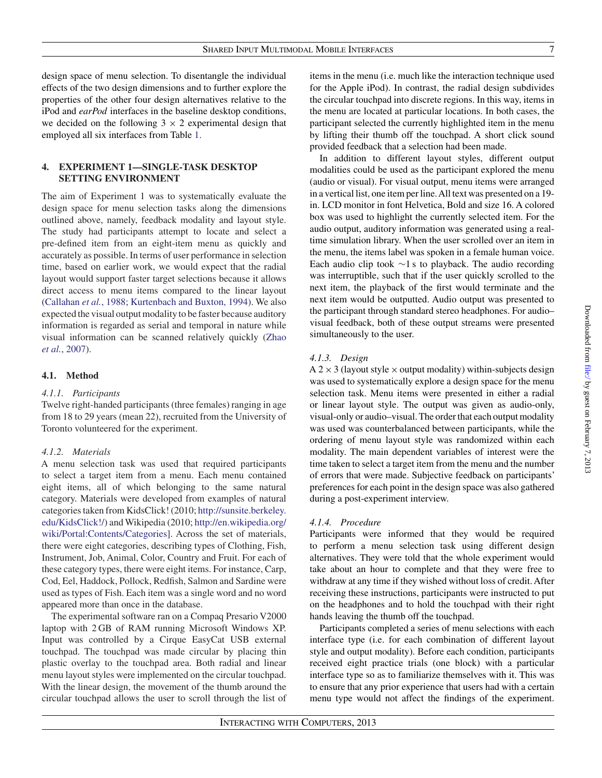design space of menu selection. To disentangle the individual effects of the two design dimensions and to further explore the properties of the other four design alternatives relative to the iPod and *earPod* interfaces in the baseline desktop conditions, we decided on the following  $3 \times 2$  experimental design that employed all six interfaces from Table [1.](#page-5-0)

# **4. EXPERIMENT 1—SINGLE-TASK DESKTOP SETTING ENVIRONMENT**

The aim of Experiment 1 was to systematically evaluate the design space for menu selection tasks along the dimensions outlined above, namely, feedback modality and layout style. The study had participants attempt to locate and select a pre-defined item from an eight-item menu as quickly and accurately as possible. In terms of user performance in selection time, based on earlier work, we would expect that the radial layout would support faster target selections because it allows direct access to menu items compared to the linear layout [\(Callahan](#page-15-0) *et al.*, 1988; [Kurtenbach and Buxton, 1994\)](#page-16-0). We also expected the visual output modality to be faster because auditory information is regarded as serial and temporal in nature while visual information can be scanned relatively quickly [\(Zhao](#page-17-0) *et al.*[, 2007\)](#page-17-0).

## **4.1. Method**

#### *4.1.1. Participants*

Twelve right-handed participants (three females) ranging in age from 18 to 29 years (mean 22), recruited from the University of Toronto volunteered for the experiment.

# *4.1.2. Materials*

A menu selection task was used that required participants to select a target item from a menu. Each menu contained eight items, all of which belonging to the same natural category. Materials were developed from examples of natural categories taken from KidsClick! (2010; [http://sunsite.berkeley.](http://sunsite.berkeley.edu/KidsClick!/) [edu/KidsClick!/\)](http://sunsite.berkeley.edu/KidsClick!/) and Wikipedia (2010; [http://en.wikipedia.org/](http://en.wikipedia.org/wiki/Portal:Contents/Categories) [wiki/Portal:Contents/Categories\]](http://en.wikipedia.org/wiki/Portal:Contents/Categories). Across the set of materials, there were eight categories, describing types of Clothing, Fish, Instrument, Job, Animal, Color, Country and Fruit. For each of these category types, there were eight items. For instance, Carp, Cod, Eel, Haddock, Pollock, Redfish, Salmon and Sardine were used as types of Fish. Each item was a single word and no word appeared more than once in the database.

The experimental software ran on a Compaq Presario V2000 laptop with 2 GB of RAM running Microsoft Windows XP. Input was controlled by a Cirque EasyCat USB external touchpad. The touchpad was made circular by placing thin plastic overlay to the touchpad area. Both radial and linear menu layout styles were implemented on the circular touchpad. With the linear design, the movement of the thumb around the circular touchpad allows the user to scroll through the list of items in the menu (i.e. much like the interaction technique used for the Apple iPod). In contrast, the radial design subdivides the circular touchpad into discrete regions. In this way, items in the menu are located at particular locations. In both cases, the participant selected the currently highlighted item in the menu by lifting their thumb off the touchpad. A short click sound provided feedback that a selection had been made.

In addition to different layout styles, different output modalities could be used as the participant explored the menu (audio or visual). For visual output, menu items were arranged in a vertical list, one item per line.All text was presented on a 19 in. LCD monitor in font Helvetica, Bold and size 16. A colored box was used to highlight the currently selected item. For the audio output, auditory information was generated using a realtime simulation library. When the user scrolled over an item in the menu, the items label was spoken in a female human voice. Each audio clip took ∼1 s to playback. The audio recording was interruptible, such that if the user quickly scrolled to the next item, the playback of the first would terminate and the next item would be outputted. Audio output was presented to the participant through standard stereo headphones. For audio– visual feedback, both of these output streams were presented simultaneously to the user.

#### *4.1.3. Design*

 $A$  2  $\times$  3 (layout style  $\times$  output modality) within-subjects design was used to systematically explore a design space for the menu selection task. Menu items were presented in either a radial or linear layout style. The output was given as audio-only, visual-only or audio–visual. The order that each output modality was used was counterbalanced between participants, while the ordering of menu layout style was randomized within each modality. The main dependent variables of interest were the time taken to select a target item from the menu and the number of errors that were made. Subjective feedback on participants' preferences for each point in the design space was also gathered during a post-experiment interview.

#### *4.1.4. Procedure*

Participants were informed that they would be required to perform a menu selection task using different design alternatives. They were told that the whole experiment would take about an hour to complete and that they were free to withdraw at any time if they wished without loss of credit. After receiving these instructions, participants were instructed to put on the headphones and to hold the touchpad with their right hands leaving the thumb off the touchpad.

Participants completed a series of menu selections with each interface type (i.e. for each combination of different layout style and output modality). Before each condition, participants received eight practice trials (one block) with a particular interface type so as to familiarize themselves with it. This was to ensure that any prior experience that users had with a certain menu type would not affect the findings of the experiment.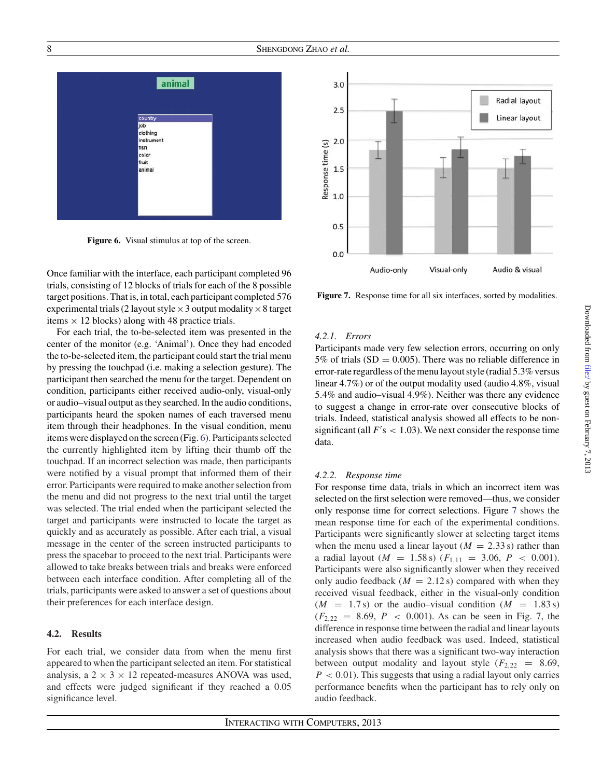

Figure 6. Visual stimulus at top of the screen.

Once familiar with the interface, each participant completed 96 trials, consisting of 12 blocks of trials for each of the 8 possible target positions. That is, in total, each participant completed 576 experimental trials (2 layout style  $\times$  3 output modality  $\times$  8 target items  $\times$  12 blocks) along with 48 practice trials.

For each trial, the to-be-selected item was presented in the center of the monitor (e.g. 'Animal'). Once they had encoded the to-be-selected item, the participant could start the trial menu by pressing the touchpad (i.e. making a selection gesture). The participant then searched the menu for the target. Dependent on condition, participants either received audio-only, visual-only or audio–visual output as they searched. In the audio conditions, participants heard the spoken names of each traversed menu item through their headphones. In the visual condition, menu items were displayed on the screen (Fig. 6). Participants selected the currently highlighted item by lifting their thumb off the touchpad. If an incorrect selection was made, then participants were notified by a visual prompt that informed them of their error. Participants were required to make another selection from the menu and did not progress to the next trial until the target was selected. The trial ended when the participant selected the target and participants were instructed to locate the target as quickly and as accurately as possible. After each trial, a visual message in the center of the screen instructed participants to press the spacebar to proceed to the next trial. Participants were allowed to take breaks between trials and breaks were enforced between each interface condition. After completing all of the trials, participants were asked to answer a set of questions about their preferences for each interface design.

### **4.2. Results**

For each trial, we consider data from when the menu first appeared to when the participant selected an item. For statistical analysis, a  $2 \times 3 \times 12$  repeated-measures ANOVA was used, and effects were judged significant if they reached a 0.05 significance level.



**Figure 7.** Response time for all six interfaces, sorted by modalities.

#### *4.2.1. Errors*

Participants made very few selection errors, occurring on only 5% of trials ( $SD = 0.005$ ). There was no reliable difference in error-rate regardless of the menu layout style (radial 5.3% versus linear 4.7%) or of the output modality used (audio 4.8%, visual 5.4% and audio–visual 4.9%). Neither was there any evidence to suggest a change in error-rate over consecutive blocks of trials. Indeed, statistical analysis showed all effects to be nonsignificant (all *F* s *<* 1*.*03). We next consider the response time data.

#### *4.2.2. Response time*

For response time data, trials in which an incorrect item was selected on the first selection were removed—thus, we consider only response time for correct selections. Figure 7 shows the mean response time for each of the experimental conditions. Participants were significantly slower at selecting target items when the menu used a linear layout ( $M = 2.33$  s) rather than a radial layout ( $M = 1.58$  s) ( $F_{1,11} = 3.06$ ,  $P < 0.001$ ). Participants were also significantly slower when they received only audio feedback  $(M = 2.12 \text{ s})$  compared with when they received visual feedback, either in the visual-only condition  $(M = 1.7 s)$  or the audio–visual condition  $(M = 1.83 s)$  $(F_{2,22} = 8.69, P < 0.001)$ . As can be seen in Fig. 7, the difference in response time between the radial and linear layouts increased when audio feedback was used. Indeed, statistical analysis shows that there was a significant two-way interaction between output modality and layout style  $(F_{2,22} = 8.69)$ , *P <* 0*.*01). This suggests that using a radial layout only carries performance benefits when the participant has to rely only on audio feedback.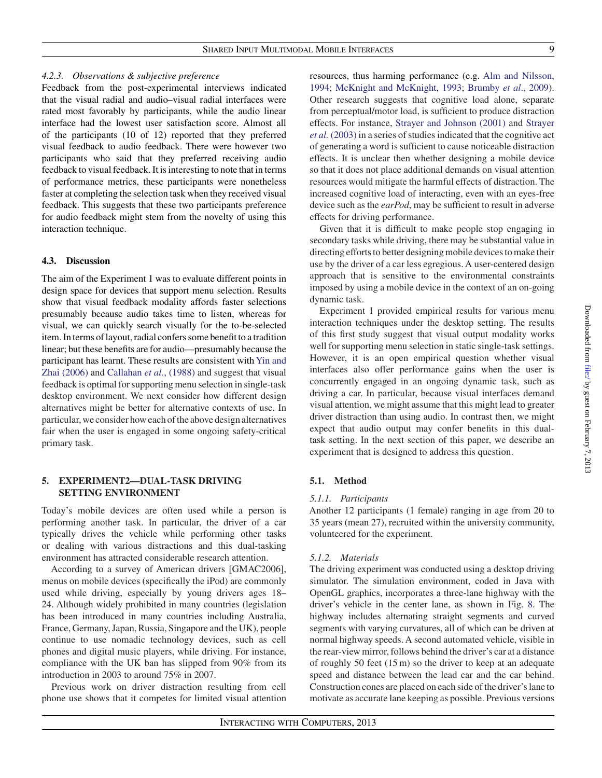# *4.2.3. Observations & subjective preference*

Feedback from the post-experimental interviews indicated that the visual radial and audio–visual radial interfaces were rated most favorably by participants, while the audio linear interface had the lowest user satisfaction score. Almost all of the participants (10 of 12) reported that they preferred visual feedback to audio feedback. There were however two participants who said that they preferred receiving audio feedback to visual feedback. It is interesting to note that in terms of performance metrics, these participants were nonetheless faster at completing the selection task when they received visual feedback. This suggests that these two participants preference for audio feedback might stem from the novelty of using this interaction technique.

#### **4.3. Discussion**

The aim of the Experiment 1 was to evaluate different points in design space for devices that support menu selection. Results show that visual feedback modality affords faster selections presumably because audio takes time to listen, whereas for visual, we can quickly search visually for the to-be-selected item. In terms of layout, radial confers some benefit to a tradition linear; but these benefits are for audio—presumably because the participant has learnt. These results are consistent with [Yin and](#page-17-0) [Zhai \(2006\)](#page-17-0) and [Callahan](#page-15-0) *et al.*, (1988) and suggest that visual feedback is optimal for supporting menu selection in single-task desktop environment. We next consider how different design alternatives might be better for alternative contexts of use. In particular, we consider how each of the above design alternatives fair when the user is engaged in some ongoing safety-critical primary task.

# **5. EXPERIMENT2—DUAL-TASK DRIVING SETTING ENVIRONMENT**

Today's mobile devices are often used while a person is performing another task. In particular, the driver of a car typically drives the vehicle while performing other tasks or dealing with various distractions and this dual-tasking environment has attracted considerable research attention.

According to a survey of American drivers [GMAC2006], menus on mobile devices (specifically the iPod) are commonly used while driving, especially by young drivers ages 18– 24. Although widely prohibited in many countries (legislation has been introduced in many countries including Australia, France, Germany, Japan, Russia, Singapore and the UK), people continue to use nomadic technology devices, such as cell phones and digital music players, while driving. For instance, compliance with the UK ban has slipped from 90% from its introduction in 2003 to around 75% in 2007.

Previous work on driver distraction resulting from cell phone use shows that it competes for limited visual attention

reso[urces,](#page-15-0) [thus](#page-15-0) [harming](#page-15-0) [performance](#page-15-0) [\(e.g.](#page-15-0) Alm and Nilsson, 1994; [McKnight and McKnight, 1993;](#page-16-0) [Brumby](#page-15-0) *et al*., 2009). Other research suggests that cognitive load alone, separate from perceptual/motor load, is sufficient to produce distraction effects. For instance, [Strayer and Johnson \(2001\)](#page-16-0) and Strayer *et al.* (2003) [in](#page-16-0) [a](#page-16-0) [series](#page-16-0) [of](#page-16-0) [studies](#page-16-0) [indicated](#page-16-0) [that](#page-16-0) [the](#page-16-0) [cogni](#page-16-0)tive act of generating a word is sufficient to cause noticeable distraction effects. It is unclear then whether designing a mobile device so that it does not place additional demands on visual attention resources would mitigate the harmful effects of distraction. The increased cognitive load of interacting, even with an eyes-free device such as the *earPod*, may be sufficient to result in adverse effects for driving performance.

Given that it is difficult to make people stop engaging in secondary tasks while driving, there may be substantial value in directing efforts to better designing mobile devices to make their use by the driver of a car less egregious. A user-centered design approach that is sensitive to the environmental constraints imposed by using a mobile device in the context of an on-going dynamic task.

Experiment 1 provided empirical results for various menu interaction techniques under the desktop setting. The results of this first study suggest that visual output modality works well for supporting menu selection in static single-task settings. However, it is an open empirical question whether visual interfaces also offer performance gains when the user is concurrently engaged in an ongoing dynamic task, such as driving a car. In particular, because visual interfaces demand visual attention, we might assume that this might lead to greater driver distraction than using audio. In contrast then, we might expect that audio output may confer benefits in this dualtask setting. In the next section of this paper, we describe an experiment that is designed to address this question.

# **5.1. Method**

#### *5.1.1. Participants*

Another 12 participants (1 female) ranging in age from 20 to 35 years (mean 27), recruited within the university community, volunteered for the experiment.

## *5.1.2. Materials*

The driving experiment was conducted using a desktop driving simulator. The simulation environment, coded in Java with OpenGL graphics, incorporates a three-lane highway with the driver's vehicle in the center lane, as shown in Fig. [8.](#page-9-0) The highway includes alternating straight segments and curved segments with varying curvatures, all of which can be driven at normal highway speeds. A second automated vehicle, visible in the rear-view mirror, follows behind the driver's car at a distance of roughly 50 feet (15 m) so the driver to keep at an adequate speed and distance between the lead car and the car behind. Construction cones are placed on each side of the driver's lane to motivate as accurate lane keeping as possible. Previous versions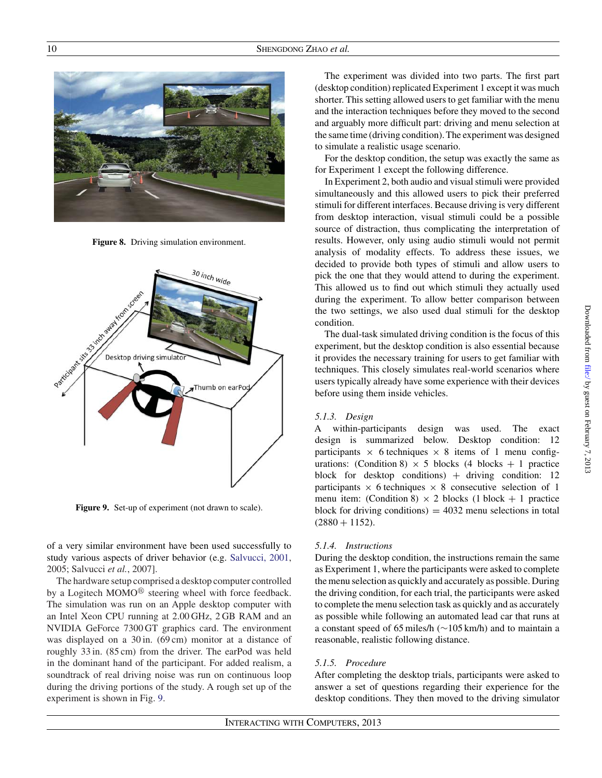<span id="page-9-0"></span>

**Figure 8.** Driving simulation environment.



**Figure 9.** Set-up of experiment (not drawn to scale).

of a very similar environment have been used successfully to study various aspects of driver behavior (e.g. [Salvucci, 2001,](#page-16-0) 2005; Salvucci *et al.*, 2007].

The hardware setup comprised a desktop computer controlled by a Logitech MOMO $^{\circledR}$  steering wheel with force feedback. The simulation was run on an Apple desktop computer with an Intel Xeon CPU running at 2.00 GHz, 2 GB RAM and an NVIDIA GeForce 7300 GT graphics card. The environment was displayed on a 30 in. (69 cm) monitor at a distance of roughly 33 in. (85 cm) from the driver. The earPod was held in the dominant hand of the participant. For added realism, a soundtrack of real driving noise was run on continuous loop during the driving portions of the study. A rough set up of the experiment is shown in Fig. 9.

The experiment was divided into two parts. The first part (desktop condition) replicated Experiment 1 except it was much shorter. This setting allowed users to get familiar with the menu and the interaction techniques before they moved to the second and arguably more difficult part: driving and menu selection at the same time (driving condition). The experiment was designed to simulate a realistic usage scenario.

For the desktop condition, the setup was exactly the same as for Experiment 1 except the following difference.

In Experiment 2, both audio and visual stimuli were provided simultaneously and this allowed users to pick their preferred stimuli for different interfaces. Because driving is very different from desktop interaction, visual stimuli could be a possible source of distraction, thus complicating the interpretation of results. However, only using audio stimuli would not permit analysis of modality effects. To address these issues, we decided to provide both types of stimuli and allow users to pick the one that they would attend to during the experiment. This allowed us to find out which stimuli they actually used during the experiment. To allow better comparison between the two settings, we also used dual stimuli for the desktop condition.

The dual-task simulated driving condition is the focus of this experiment, but the desktop condition is also essential because it provides the necessary training for users to get familiar with techniques. This closely simulates real-world scenarios where users typically already have some experience with their devices before using them inside vehicles.

#### *5.1.3. Design*

A within-participants design was used. The exact design is summarized below. Desktop condition: 12 participants  $\times$  6 techniques  $\times$  8 items of 1 menu configurations: *(Condition 8)*  $\times$  5 blocks (4 blocks + 1 practice block for desktop conditions*)* + driving condition: 12 participants  $\times$  6 techniques  $\times$  8 consecutive selection of 1 menu item: *(Condition 8)*  $\times$  2 blocks (1 block + 1 practice block for driving conditions*)* = 4032 menu selections in total  $(2880 + 1152)$ .

### *5.1.4. Instructions*

During the desktop condition, the instructions remain the same as Experiment 1, where the participants were asked to complete the menu selection as quickly and accurately as possible. During the driving condition, for each trial, the participants were asked to complete the menu selection task as quickly and as accurately as possible while following an automated lead car that runs at a constant speed of 65 miles/h (∼105 km/h) and to maintain a reasonable, realistic following distance.

#### *5.1.5. Procedure*

After completing the desktop trials, participants were asked to answer a set of questions regarding their experience for the desktop conditions. They then moved to the driving simulator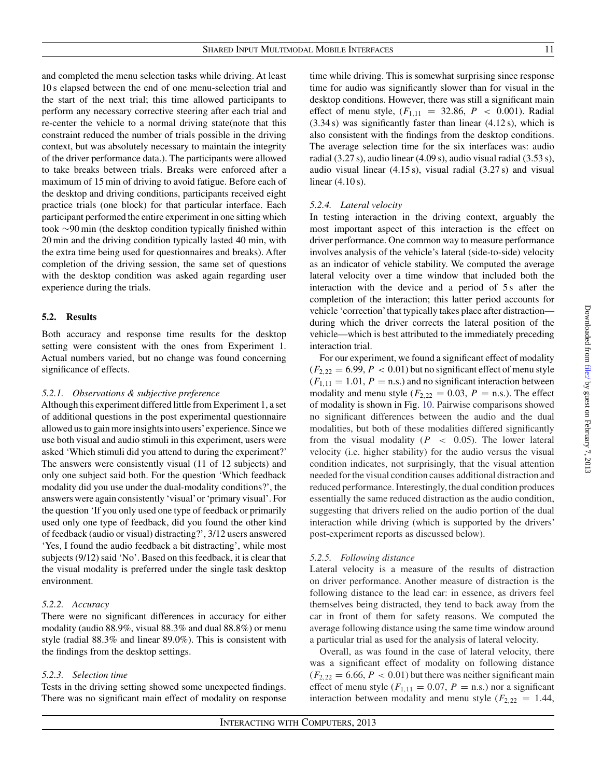and completed the menu selection tasks while driving. At least 10 s elapsed between the end of one menu-selection trial and the start of the next trial; this time allowed participants to perform any necessary corrective steering after each trial and re-center the vehicle to a normal driving state(note that this constraint reduced the number of trials possible in the driving context, but was absolutely necessary to maintain the integrity of the driver performance data.). The participants were allowed to take breaks between trials. Breaks were enforced after a maximum of 15 min of driving to avoid fatigue. Before each of the desktop and driving conditions, participants received eight practice trials (one block) for that particular interface. Each participant performed the entire experiment in one sitting which took ∼90 min (the desktop condition typically finished within 20 min and the driving condition typically lasted 40 min, with the extra time being used for questionnaires and breaks). After completion of the driving session, the same set of questions with the desktop condition was asked again regarding user experience during the trials.

## **5.2. Results**

Both accuracy and response time results for the desktop setting were consistent with the ones from Experiment 1. Actual numbers varied, but no change was found concerning significance of effects.

#### *5.2.1. Observations & subjective preference*

Although this experiment differed little from Experiment 1, a set of additional questions in the post experimental questionnaire allowed us to gain more insights into users'experience. Since we use both visual and audio stimuli in this experiment, users were asked 'Which stimuli did you attend to during the experiment?' The answers were consistently visual (11 of 12 subjects) and only one subject said both. For the question 'Which feedback modality did you use under the dual-modality conditions?', the answers were again consistently 'visual'or 'primary visual'. For the question 'If you only used one type of feedback or primarily used only one type of feedback, did you found the other kind of feedback (audio or visual) distracting?', 3/12 users answered 'Yes, I found the audio feedback a bit distracting', while most subjects (9/12) said 'No'. Based on this feedback, it is clear that the visual modality is preferred under the single task desktop environment.

# *5.2.2. Accuracy*

There were no significant differences in accuracy for either modality (audio 88.9%, visual 88.3% and dual 88.8%) or menu style (radial 88.3% and linear 89.0%). This is consistent with the findings from the desktop settings.

## *5.2.3. Selection time*

Tests in the driving setting showed some unexpected findings. There was no significant main effect of modality on response

time while driving. This is somewhat surprising since response time for audio was significantly slower than for visual in the desktop conditions. However, there was still a significant main effect of menu style,  $(F_{1,11} = 32.86, P < 0.001)$ . Radial (3.34 s) was significantly faster than linear (4.12 s), which is also consistent with the findings from the desktop conditions. The average selection time for the six interfaces was: audio radial (3.27 s), audio linear (4.09 s), audio visual radial (3.53 s), audio visual linear (4.15 s), visual radial (3.27 s) and visual linear (4.10 s).

#### *5.2.4. Lateral velocity*

In testing interaction in the driving context, arguably the most important aspect of this interaction is the effect on driver performance. One common way to measure performance involves analysis of the vehicle's lateral (side-to-side) velocity as an indicator of vehicle stability. We computed the average lateral velocity over a time window that included both the interaction with the device and a period of 5s after the completion of the interaction; this latter period accounts for vehicle 'correction'that typically takes place after distraction during which the driver corrects the lateral position of the vehicle—which is best attributed to the immediately preceding interaction trial.

For our experiment, we found a significant effect of modality  $(F_{2,22} = 6.99, P < 0.01)$  but no significant effect of menu style  $(F_{1,11} = 1.01, P =$ n.s.) and no significant interaction between modality and menu style  $(F_{2,22} = 0.03, P =$ n.s.). The effect of modality is shown in Fig. [10.](#page-11-0) Pairwise comparisons showed no significant differences between the audio and the dual modalities, but both of these modalities differed significantly from the visual modality (*P <* 0*.*05). The lower lateral velocity (i.e. higher stability) for the audio versus the visual condition indicates, not surprisingly, that the visual attention needed for the visual condition causes additional distraction and reduced performance. Interestingly, the dual condition produces essentially the same reduced distraction as the audio condition, suggesting that drivers relied on the audio portion of the dual interaction while driving (which is supported by the drivers' post-experiment reports as discussed below).

#### *5.2.5. Following distance*

Lateral velocity is a measure of the results of distraction on driver performance. Another measure of distraction is the following distance to the lead car: in essence, as drivers feel themselves being distracted, they tend to back away from the car in front of them for safety reasons. We computed the average following distance using the same time window around a particular trial as used for the analysis of lateral velocity.

Overall, as was found in the case of lateral velocity, there was a significant effect of modality on following distance  $(F_{2,22} = 6.66, P < 0.01)$  but there was neither significant main effect of menu style ( $F_{1,11} = 0.07$ ,  $P =$  n.s.) nor a significant interaction between modality and menu style  $(F_{2,22} = 1.44,$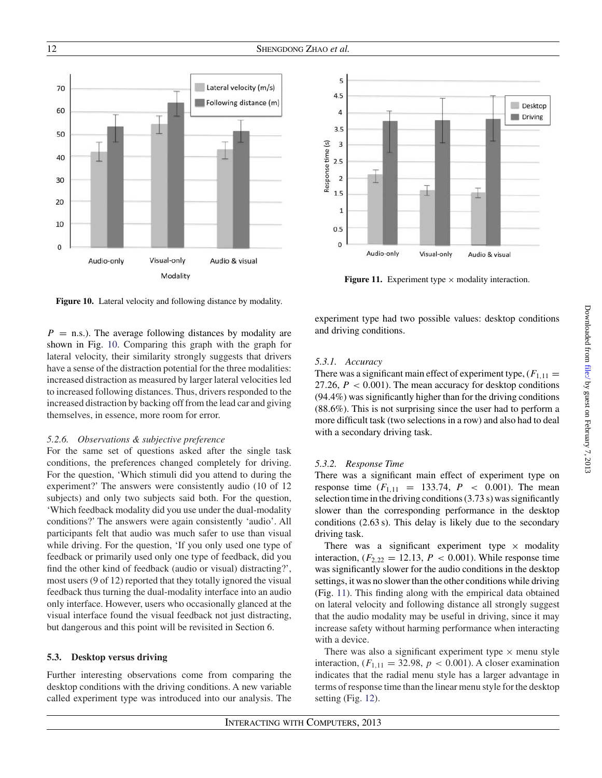<span id="page-11-0"></span>

**Figure 10.** Lateral velocity and following distance by modality.

 $P =$  n.s.). The average following distances by modality are shown in Fig. 10. Comparing this graph with the graph for lateral velocity, their similarity strongly suggests that drivers have a sense of the distraction potential for the three modalities: increased distraction as measured by larger lateral velocities led to increased following distances. Thus, drivers responded to the increased distraction by backing off from the lead car and giving themselves, in essence, more room for error.

## *5.2.6. Observations & subjective preference*

For the same set of questions asked after the single task conditions, the preferences changed completely for driving. For the question, 'Which stimuli did you attend to during the experiment?' The answers were consistently audio (10 of 12 subjects) and only two subjects said both. For the question, 'Which feedback modality did you use under the dual-modality conditions?' The answers were again consistently 'audio'. All participants felt that audio was much safer to use than visual while driving. For the question, 'If you only used one type of feedback or primarily used only one type of feedback, did you find the other kind of feedback (audio or visual) distracting?', most users (9 of 12) reported that they totally ignored the visual feedback thus turning the dual-modality interface into an audio only interface. However, users who occasionally glanced at the visual interface found the visual feedback not just distracting, but dangerous and this point will be revisited in Section 6.

## **5.3. Desktop versus driving**

Further interesting observations come from comparing the desktop conditions with the driving conditions. A new variable called experiment type was introduced into our analysis. The



**Figure 11.** Experiment type  $\times$  modality interaction.

experiment type had two possible values: desktop conditions and driving conditions.

## *5.3.1. Accuracy*

There was a significant main effect of experiment type,  $(F_{1,11} =$ 27*.*26, *P <* 0*.*001). The mean accuracy for desktop conditions (94.4%) was significantly higher than for the driving conditions (88.6%). This is not surprising since the user had to perform a more difficult task (two selections in a row) and also had to deal with a secondary driving task.

# *5.3.2. Response Time*

There was a significant main effect of experiment type on response time  $(F_{1,11} = 133.74, P < 0.001)$ . The mean selection time in the driving conditions (3.73 s) was significantly slower than the corresponding performance in the desktop conditions (2.63 s). This delay is likely due to the secondary driving task.

There was a significant experiment type  $\times$  modality interaction,  $(F_{2,22} = 12.13, P < 0.001)$ . While response time was significantly slower for the audio conditions in the desktop settings, it was no slower than the other conditions while driving (Fig. 11). This finding along with the empirical data obtained on lateral velocity and following distance all strongly suggest that the audio modality may be useful in driving, since it may increase safety without harming performance when interacting with a device.

There was also a significant experiment type  $\times$  menu style interaction,  $(F_{1,11} = 32.98, p < 0.001)$ . A closer examination indicates that the radial menu style has a larger advantage in terms of response time than the linear menu style for the desktop setting (Fig. [12\)](#page-12-0).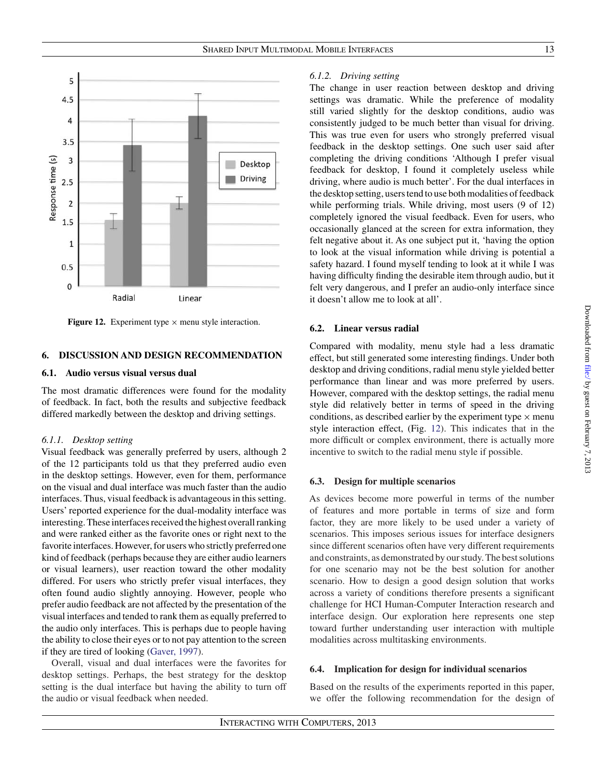<span id="page-12-0"></span>

**Figure 12.** Experiment type  $\times$  menu style interaction.

# **6. DISCUSSION AND DESIGN RECOMMENDATION**

### **6.1. Audio versus visual versus dual**

The most dramatic differences were found for the modality of feedback. In fact, both the results and subjective feedback differed markedly between the desktop and driving settings.

## *6.1.1. Desktop setting*

Visual feedback was generally preferred by users, although 2 of the 12 participants told us that they preferred audio even in the desktop settings. However, even for them, performance on the visual and dual interface was much faster than the audio interfaces. Thus, visual feedback is advantageous in this setting. Users' reported experience for the dual-modality interface was interesting. These interfaces received the highest overall ranking and were ranked either as the favorite ones or right next to the favorite interfaces. However, for users who strictly preferred one kind of feedback (perhaps because they are either audio learners or visual learners), user reaction toward the other modality differed. For users who strictly prefer visual interfaces, they often found audio slightly annoying. However, people who prefer audio feedback are not affected by the presentation of the visual interfaces and tended to rank them as equally preferred to the audio only interfaces. This is perhaps due to people having the ability to close their eyes or to not pay attention to the screen if they are tired of looking [\(Gaver, 1997\)](#page-15-0).

Overall, visual and dual interfaces were the favorites for desktop settings. Perhaps, the best strategy for the desktop setting is the dual interface but having the ability to turn off the audio or visual feedback when needed.

#### *6.1.2. Driving setting*

The change in user reaction between desktop and driving settings was dramatic. While the preference of modality still varied slightly for the desktop conditions, audio was consistently judged to be much better than visual for driving. This was true even for users who strongly preferred visual feedback in the desktop settings. One such user said after completing the driving conditions 'Although I prefer visual feedback for desktop, I found it completely useless while driving, where audio is much better'. For the dual interfaces in the desktop setting, users tend to use both modalities of feedback while performing trials. While driving, most users  $(9 \text{ of } 12)$ completely ignored the visual feedback. Even for users, who occasionally glanced at the screen for extra information, they felt negative about it. As one subject put it, 'having the option to look at the visual information while driving is potential a safety hazard. I found myself tending to look at it while I was having difficulty finding the desirable item through audio, but it felt very dangerous, and I prefer an audio-only interface since it doesn't allow me to look at all'.

## **6.2. Linear versus radial**

Compared with modality, menu style had a less dramatic effect, but still generated some interesting findings. Under both desktop and driving conditions, radial menu style yielded better performance than linear and was more preferred by users. However, compared with the desktop settings, the radial menu style did relatively better in terms of speed in the driving conditions, as described earlier by the experiment type  $\times$  menu style interaction effect, (Fig. 12). This indicates that in the more difficult or complex environment, there is actually more incentive to switch to the radial menu style if possible.

#### **6.3. Design for multiple scenarios**

As devices become more powerful in terms of the number of features and more portable in terms of size and form factor, they are more likely to be used under a variety of scenarios. This imposes serious issues for interface designers since different scenarios often have very different requirements and constraints, as demonstrated by our study. The best solutions for one scenario may not be the best solution for another scenario. How to design a good design solution that works across a variety of conditions therefore presents a significant challenge for HCI Human-Computer Interaction research and interface design. Our exploration here represents one step toward further understanding user interaction with multiple modalities across multitasking environments.

## **6.4. Implication for design for individual scenarios**

Based on the results of the experiments reported in this paper, we offer the following recommendation for the design of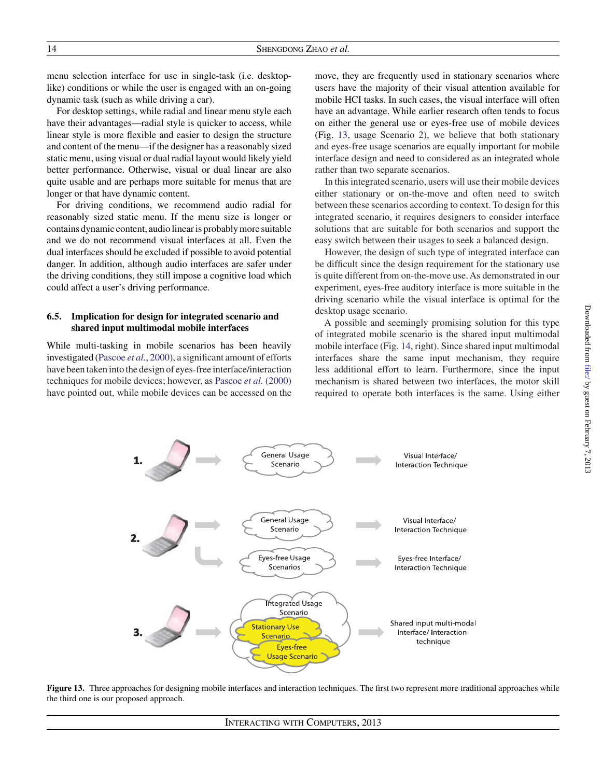menu selection interface for use in single-task (i.e. desktoplike) conditions or while the user is engaged with an on-going dynamic task (such as while driving a car).

For desktop settings, while radial and linear menu style each have their advantages—radial style is quicker to access, while linear style is more flexible and easier to design the structure and content of the menu—if the designer has a reasonably sized static menu, using visual or dual radial layout would likely yield better performance. Otherwise, visual or dual linear are also quite usable and are perhaps more suitable for menus that are longer or that have dynamic content.

For driving conditions, we recommend audio radial for reasonably sized static menu. If the menu size is longer or contains dynamic content, audio linear is probably more suitable and we do not recommend visual interfaces at all. Even the dual interfaces should be excluded if possible to avoid potential danger. In addition, although audio interfaces are safer under the driving conditions, they still impose a cognitive load which could affect a user's driving performance.

# **6.5. Implication for design for integrated scenario and shared input multimodal mobile interfaces**

While multi-tasking in mobile scenarios has been heavily investigated [\(Pascoe](#page-16-0) *et al.*, 2000), a significant amount of efforts have been taken into the design of eyes-free interface/interaction techniques for mobile devices; however, as [Pascoe](#page-16-0) *et al.* (2000) have pointed out, while mobile devices can be accessed on the move, they are frequently used in stationary scenarios where users have the majority of their visual attention available for mobile HCI tasks. In such cases, the visual interface will often have an advantage. While earlier research often tends to focus on either the general use or eyes-free use of mobile devices (Fig. 13, usage Scenario 2), we believe that both stationary and eyes-free usage scenarios are equally important for mobile interface design and need to considered as an integrated whole rather than two separate scenarios.

In this integrated scenario, users will use their mobile devices either stationary or on-the-move and often need to switch between these scenarios according to context. To design for this integrated scenario, it requires designers to consider interface solutions that are suitable for both scenarios and support the easy switch between their usages to seek a balanced design.

However, the design of such type of integrated interface can be difficult since the design requirement for the stationary use is quite different from on-the-move use. As demonstrated in our experiment, eyes-free auditory interface is more suitable in the driving scenario while the visual interface is optimal for the desktop usage scenario.

A possible and seemingly promising solution for this type of integrated mobile scenario is the shared input multimodal mobile interface (Fig. [14,](#page-14-0) right). Since shared input multimodal interfaces share the same input mechanism, they require less additional effort to learn. Furthermore, since the input mechanism is shared between two interfaces, the motor skill required to operate both interfaces is the same. Using either



Figure 13. Three approaches for designing mobile interfaces and interaction techniques. The first two represent more traditional approaches while the third one is our proposed approach.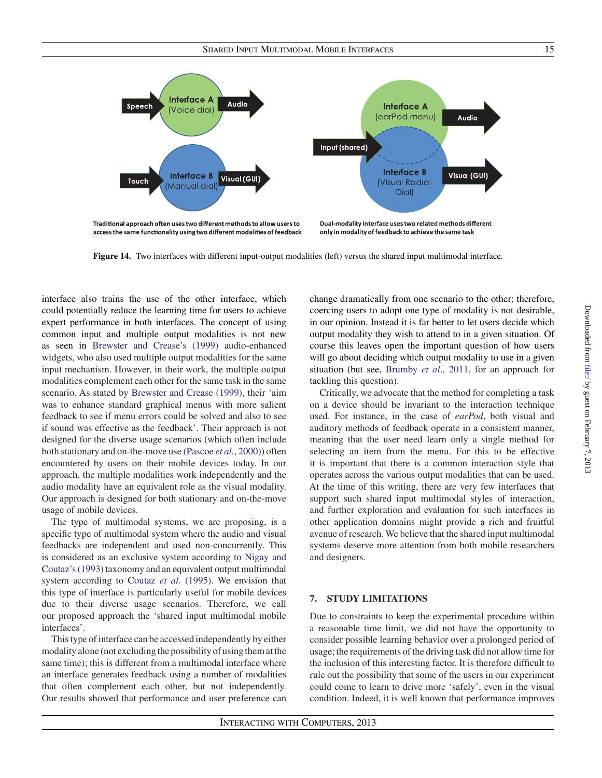Input (shared)



Visual (GUI)

**Interface B** 

**Visual Radial** 

Dial)

Traditional approach often uses two different methods to allow users to Dual-modality interface uses two related methods different access the same functionality using two different modalities of feedback only in modality of feedback to achieve the same task

Audio

Visual (GUI)

**Interface A** 

Voice dial)

**Interface B** 

Manual dial)

<span id="page-14-0"></span>Speech

Touch

**Figure 14.** Two interfaces with different input-output modalities (left) versus the shared input multimodal interface.

interface also trains the use of the other interface, which could potentially reduce the learning time for users to achieve expert performance in both interfaces. The concept of using common input and multiple output modalities is not new as seen in [Brewster and Crease's \(1999\)](#page-15-0) audio-enhanced widgets, who also used multiple output modalities for the same input mechanism. However, in their work, the multiple output modalities complement each other for the same task in the same scenario. As stated by [Brewster and Crease \(1999\),](#page-15-0) their 'aim was to enhance standard graphical menus with more salient feedback to see if menu errors could be solved and also to see if sound was effective as the feedback'. Their approach is not designed for the diverse usage scenarios (which often include both stationary and on-the-move use [\(Pascoe](#page-16-0) *et al.*, 2000)) often encountered by users on their mobile devices today. In our approach, the multiple modalities work independently and the audio modality have an equivalent role as the visual modality. Our approach is designed for both stationary and on-the-move usage of mobile devices.

The type of multimodal systems, we are proposing, is a specific type of multimodal system where the audio and visual feedbacks are independent and used non-concurrently. This is considered as an exclusive system according to [Nigay and](#page-16-0) [Coutaz's \(1993\)](#page-16-0) taxonomy and an equivalent output multimodal system according to [Coutaz](#page-15-0) *et al.* (1995). We envision that this type of interface is particularly useful for mobile devices due to their diverse usage scenarios. Therefore, we call our proposed approach the 'shared input multimodal mobile interfaces'.

This type of interface can be accessed independently by either modality alone (not excluding the possibility of using them at the same time); this is different from a multimodal interface where an interface generates feedback using a number of modalities that often complement each other, but not independently. Our results showed that performance and user preference can

change dramatically from one scenario to the other; therefore, coercing users to adopt one type of modality is not desirable, in our opinion. Instead it is far better to let users decide which output modality they wish to attend to in a given situation. Of course this leaves open the important question of how users will go about deciding which output modality to use in a given situation (but see, [Brumby](#page-15-0) *et al*., 2011, for an approach for tackling this question).

Critically, we advocate that the method for completing a task on a device should be invariant to the interaction technique used. For instance, in the case of *earPod*, both visual and auditory methods of feedback operate in a consistent manner, meaning that the user need learn only a single method for selecting an item from the menu. For this to be effective it is important that there is a common interaction style that operates across the various output modalities that can be used. At the time of this writing, there are very few interfaces that support such shared input multimodal styles of interaction, and further exploration and evaluation for such interfaces in other application domains might provide a rich and fruitful avenue of research. We believe that the shared input multimodal systems deserve more attention from both mobile researchers and designers.

#### **7. STUDY LIMITATIONS**

Due to constraints to keep the experimental procedure within a reasonable time limit, we did not have the opportunity to consider possible learning behavior over a prolonged period of usage; the requirements of the driving task did not allow time for the inclusion of this interesting factor. It is therefore difficult to rule out the possibility that some of the users in our experiment could come to learn to drive more 'safely', even in the visual condition. Indeed, it is well known that performance improves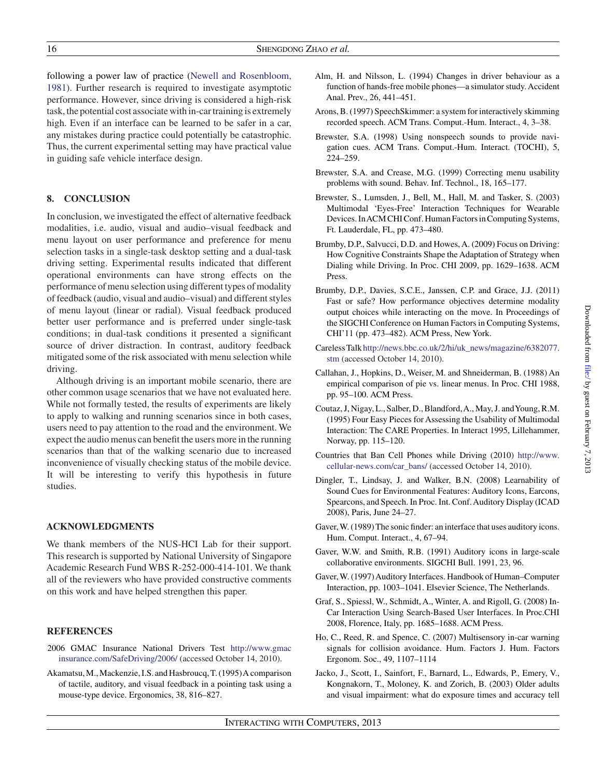<span id="page-15-0"></span>follo[wing](#page-16-0) [a](#page-16-0) [power](#page-16-0) [law](#page-16-0) [of](#page-16-0) [practice](#page-16-0) [\(](#page-16-0)Newell and Rosenbloom, 1981). Further research is required to investigate asymptotic performance. However, since driving is considered a high-risk task, the potential cost associate with in-car training is extremely high. Even if an interface can be learned to be safer in a car, any mistakes during practice could potentially be catastrophic. Thus, the current experimental setting may have practical value in guiding safe vehicle interface design.

# **8. CONCLUSION**

In conclusion, we investigated the effect of alternative feedback modalities, i.e. audio, visual and audio–visual feedback and menu layout on user performance and preference for menu selection tasks in a single-task desktop setting and a dual-task driving setting. Experimental results indicated that different operational environments can have strong effects on the performance of menu selection using different types of modality of feedback (audio, visual and audio–visual) and different styles of menu layout (linear or radial). Visual feedback produced better user performance and is preferred under single-task conditions; in dual-task conditions it presented a significant source of driver distraction. In contrast, auditory feedback mitigated some of the risk associated with menu selection while driving.

Although driving is an important mobile scenario, there are other common usage scenarios that we have not evaluated here. While not formally tested, the results of experiments are likely to apply to walking and running scenarios since in both cases, users need to pay attention to the road and the environment. We expect the audio menus can benefit the users more in the running scenarios than that of the walking scenario due to increased inconvenience of visually checking status of the mobile device. It will be interesting to verify this hypothesis in future studies.

# **ACKNOWLEDGMENTS**

We thank members of the NUS-HCI Lab for their support. This research is supported by National University of Singapore Academic Research Fund WBS R-252-000-414-101. We thank all of the reviewers who have provided constructive comments on this work and have helped strengthen this paper.

# **REFERENCES**

- 2006 GMAC Insurance National Drivers Test [http://www.gmac](http://www.gmacinsurance.com/SafeDriving/2006/) [insurance.com/SafeDriving/2006/](http://www.gmacinsurance.com/SafeDriving/2006/) (accessed October 14, 2010).
- Akamatsu, M., Mackenzie, I.S. and Hasbroucq, T. (1995) A comparison of tactile, auditory, and visual feedback in a pointing task using a mouse-type device. Ergonomics, 38, 816–827.
- Alm, H. and Nilsson, L. (1994) Changes in driver behaviour as a function of hands-free mobile phones—a simulator study. Accident Anal. Prev., 26, 441–451.
- Arons, B. (1997) SpeechSkimmer: a system for interactively skimming recorded speech. ACM Trans. Comput.-Hum. Interact., 4, 3–38.
- Brewster, S.A. (1998) Using nonspeech sounds to provide navigation cues. ACM Trans. Comput.-Hum. Interact. (TOCHI), 5, 224–259.
- Brewster, S.A. and Crease, M.G. (1999) Correcting menu usability problems with sound. Behav. Inf. Technol., 18, 165–177.
- Brewster, S., Lumsden, J., Bell, M., Hall, M. and Tasker, S. (2003) Multimodal 'Eyes-Free' Interaction Techniques for Wearable Devices. InACM CHI Conf. Human Factors in Computing Systems, Ft. Lauderdale, FL, pp. 473–480.
- Brumby, D.P., Salvucci, D.D. and Howes, A. (2009) Focus on Driving: How Cognitive Constraints Shape the Adaptation of Strategy when Dialing while Driving. In Proc. CHI 2009, pp. 1629–1638. ACM Press.
- Brumby, D.P., Davies, S.C.E., Janssen, C.P. and Grace, J.J. (2011) Fast or safe? How performance objectives determine modality output choices while interacting on the move. In Proceedings of the SIGCHI Conference on Human Factors in Computing Systems, CHI'11 (pp. 473–482). ACM Press, New York.
- CarelessTalk [http://news.bbc.co.uk/2/hi/uk\\_news/magazine/6382077.](http://news.bbc.co.uk/2/hi/uk_news/magazine/6382077.stm) [stm](http://news.bbc.co.uk/2/hi/uk_news/magazine/6382077.stm) (accessed October 14, 2010).
- Callahan, J., Hopkins, D., Weiser, M. and Shneiderman, B. (1988) An empirical comparison of pie vs. linear menus. In Proc. CHI 1988, pp. 95–100. ACM Press.
- Coutaz, J, Nigay, L., Salber, D., Blandford,A., May, J. andYoung, R.M. (1995) Four Easy Pieces for Assessing the Usability of Multimodal Interaction: The CARE Properties. In Interact 1995, Lillehammer, Norway, pp. 115–120.
- Countries that Ban Cell Phones while Driving (2010) [http://www.](http://www.cellular-news.com/car_bans/) [cellular-news.com/car\\_bans/](http://www.cellular-news.com/car_bans/) (accessed October 14, 2010).
- Dingler, T., Lindsay, J. and Walker, B.N. (2008) Learnability of Sound Cues for Environmental Features: Auditory Icons, Earcons, Spearcons, and Speech. In Proc. Int. Conf.Auditory Display (ICAD 2008), Paris, June 24–27.
- Gaver, W. (1989) The sonic finder: an interface that uses auditory icons. Hum. Comput. Interact., 4, 67–94.
- Gaver, W.W. and Smith, R.B. (1991) Auditory icons in large-scale collaborative environments. SIGCHI Bull. 1991, 23, 96.
- Gaver, W. (1997) Auditory Interfaces. Handbook of Human–Computer Interaction, pp. 1003–1041. Elsevier Science, The Netherlands.
- Graf, S., Spiessl, W., Schmidt, A., Winter, A. and Rigoll, G. (2008) In-Car Interaction Using Search-Based User Interfaces. In Proc.CHI 2008, Florence, Italy, pp. 1685–1688. ACM Press.
- Ho, C., Reed, R. and Spence, C. (2007) Multisensory in-car warning signals for collision avoidance. Hum. Factors J. Hum. Factors Ergonom. Soc., 49, 1107–1114
- Jacko, J., Scott, I., Sainfort, F., Barnard, L., Edwards, P., Emery, V., Kongnakorn, T., Moloney, K. and Zorich, B. (2003) Older adults and visual impairment: what do exposure times and accuracy tell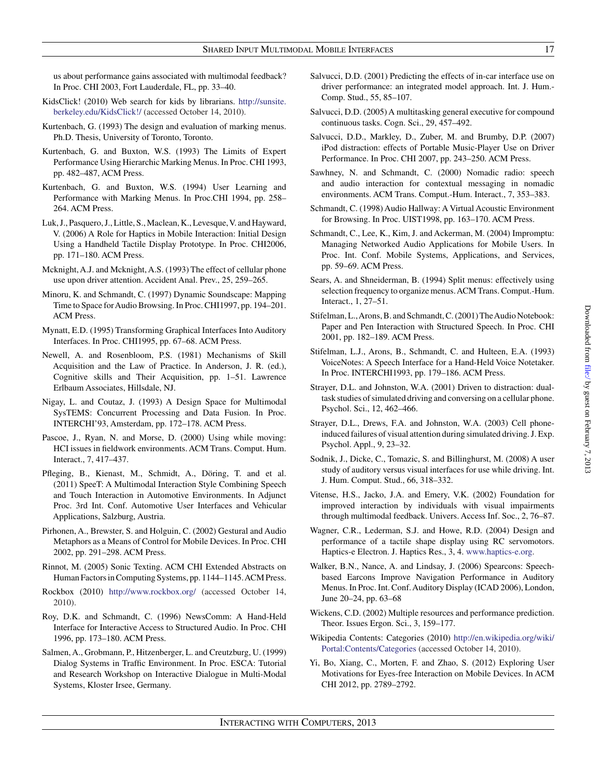<span id="page-16-0"></span>us about performance gains associated with multimodal feedback? In Proc. CHI 2003, Fort Lauderdale, FL, pp. 33–40.

- KidsClick! (2010) Web search for kids by librarians. [http://sunsite.](http://sunsite.berkeley.edu/KidsClick!/) [berkeley.edu/KidsClick!/](http://sunsite.berkeley.edu/KidsClick!/) (accessed October 14, 2010).
- Kurtenbach, G. (1993) The design and evaluation of marking menus. Ph.D. Thesis, University of Toronto, Toronto.
- Kurtenbach, G. and Buxton, W.S. (1993) The Limits of Expert Performance Using Hierarchic Marking Menus. In Proc. CHI 1993, pp. 482–487, ACM Press.
- Kurtenbach, G. and Buxton, W.S. (1994) User Learning and Performance with Marking Menus. In Proc.CHI 1994, pp. 258– 264. ACM Press.
- Luk, J., Pasquero, J., Little, S., Maclean, K., Levesque,V. and Hayward, V. (2006) A Role for Haptics in Mobile Interaction: Initial Design Using a Handheld Tactile Display Prototype. In Proc. CHI2006, pp. 171–180. ACM Press.
- Mcknight, A.J. and Mcknight, A.S. (1993) The effect of cellular phone use upon driver attention. Accident Anal. Prev., 25, 259–265.
- Minoru, K. and Schmandt, C. (1997) Dynamic Soundscape: Mapping Time to Space forAudio Browsing. In Proc. CHI1997, pp. 194–201. ACM Press.
- Mynatt, E.D. (1995) Transforming Graphical Interfaces Into Auditory Interfaces. In Proc. CHI1995, pp. 67–68. ACM Press.
- Newell, A. and Rosenbloom, P.S. (1981) Mechanisms of Skill Acquisition and the Law of Practice. In Anderson, J. R. (ed.), Cognitive skills and Their Acquisition, pp. 1–51. Lawrence Erlbaum Associates, Hillsdale, NJ.
- Nigay, L. and Coutaz, J. (1993) A Design Space for Multimodal SysTEMS: Concurrent Processing and Data Fusion. In Proc. INTERCHI'93, Amsterdam, pp. 172–178. ACM Press.
- Pascoe, J., Ryan, N. and Morse, D. (2000) Using while moving: HCI issues in fieldwork environments. ACM Trans. Comput. Hum. Interact., 7, 417–437.
- Pfleging, B., Kienast, M., Schmidt, A., Döring, T. and et al. (2011) SpeeT: A Multimodal Interaction Style Combining Speech and Touch Interaction in Automotive Environments. In Adjunct Proc. 3rd Int. Conf. Automotive User Interfaces and Vehicular Applications, Salzburg, Austria.
- Pirhonen, A., Brewster, S. and Holguin, C. (2002) Gestural and Audio Metaphors as a Means of Control for Mobile Devices. In Proc. CHI 2002, pp. 291–298. ACM Press.
- Rinnot, M. (2005) Sonic Texting. ACM CHI Extended Abstracts on Human Factors in Computing Systems, pp. 1144–1145.ACM Press.
- Rockbox (2010) <http://www.rockbox.org/> (accessed October 14, 2010).
- Roy, D.K. and Schmandt, C. (1996) NewsComm: A Hand-Held Interface for Interactive Access to Structured Audio. In Proc. CHI 1996, pp. 173–180. ACM Press.
- Salmen, A., Grobmann, P., Hitzenberger, L. and Creutzburg, U. (1999) Dialog Systems in Traffic Environment. In Proc. ESCA: Tutorial and Research Workshop on Interactive Dialogue in Multi-Modal Systems, Kloster Irsee, Germany.
- Salvucci, D.D. (2001) Predicting the effects of in-car interface use on driver performance: an integrated model approach. Int. J. Hum.- Comp. Stud., 55, 85–107.
- Salvucci, D.D. (2005) A multitasking general executive for compound continuous tasks. Cogn. Sci., 29, 457–492.
- Salvucci, D.D., Markley, D., Zuber, M. and Brumby, D.P. (2007) iPod distraction: effects of Portable Music-Player Use on Driver Performance. In Proc. CHI 2007, pp. 243–250. ACM Press.
- Sawhney, N. and Schmandt, C. (2000) Nomadic radio: speech and audio interaction for contextual messaging in nomadic environments. ACM Trans. Comput.-Hum. Interact., 7, 353–383.
- Schmandt, C. (1998) Audio Hallway: A Virtual Acoustic Environment for Browsing. In Proc. UIST1998, pp. 163–170. ACM Press.
- Schmandt, C., Lee, K., Kim, J. and Ackerman, M. (2004) Impromptu: Managing Networked Audio Applications for Mobile Users. In Proc. Int. Conf. Mobile Systems, Applications, and Services, pp. 59–69. ACM Press.
- Sears, A. and Shneiderman, B. (1994) Split menus: effectively using selection frequency to organize menus.ACM Trans. Comput.-Hum. Interact., 1, 27–51.
- Stifelman, L., Arons, B. and Schmandt, C. (2001) The Audio Notebook: Paper and Pen Interaction with Structured Speech. In Proc. CHI 2001, pp. 182–189. ACM Press.
- Stifelman, L.J., Arons, B., Schmandt, C. and Hulteen, E.A. (1993) VoiceNotes: A Speech Interface for a Hand-Held Voice Notetaker. In Proc. INTERCHI1993, pp. 179–186. ACM Press.
- Strayer, D.L. and Johnston, W.A. (2001) Driven to distraction: dualtask studies of simulated driving and conversing on a cellular phone. Psychol. Sci., 12, 462–466.
- Strayer, D.L., Drews, F.A. and Johnston, W.A. (2003) Cell phoneinduced failures of visual attention during simulated driving. J. Exp. Psychol. Appl., 9, 23–32.
- Sodnik, J., Dicke, C., Tomazic, S. and Billinghurst, M. (2008) A user study of auditory versus visual interfaces for use while driving. Int. J. Hum. Comput. Stud., 66, 318–332.
- Vitense, H.S., Jacko, J.A. and Emery, V.K. (2002) Foundation for improved interaction by individuals with visual impairments through multimodal feedback. Univers. Access Inf. Soc., 2, 76–87.
- Wagner, C.R., Lederman, S.J. and Howe, R.D. (2004) Design and performance of a tactile shape display using RC servomotors. Haptics-e Electron. J. Haptics Res., 3, 4. [www.haptics-e.org.](file:www.haptics-e.org)
- Walker, B.N., Nance, A. and Lindsay, J. (2006) Spearcons: Speechbased Earcons Improve Navigation Performance in Auditory Menus. In Proc. Int. Conf.Auditory Display (ICAD 2006), London, June 20–24, pp. 63–68
- Wickens, C.D. (2002) Multiple resources and performance prediction. Theor. Issues Ergon. Sci., 3, 159–177.
- Wikipedia Contents: Categories (2010) [http://en.wikipedia.org/wiki/](http://en.wikipedia.org/wiki/Portal:Contents/Categories) [Portal:Contents/Categories](http://en.wikipedia.org/wiki/Portal:Contents/Categories) (accessed October 14, 2010).
- Yi, Bo, Xiang, C., Morten, F. and Zhao, S. (2012) Exploring User Motivations for Eyes-free Interaction on Mobile Devices. In ACM CHI 2012, pp. 2789–2792.